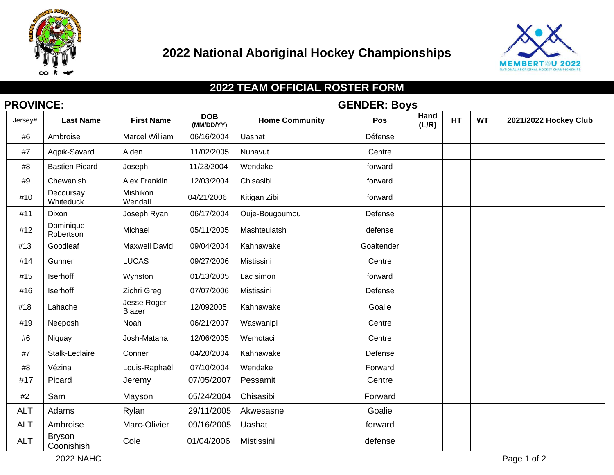



## **2022 TEAM OFFICIAL ROSTER FORM PROVINCE: GENDER: Boys**

| Jersey#    | <b>Last Name</b>            | <b>First Name</b>            | <b>DOB</b><br>(MM/DD/YY) | <b>Home Community</b> | Pos        | Hand<br>(L/R) | HT | <b>WT</b> | 2021/2022 Hockey Club |
|------------|-----------------------------|------------------------------|--------------------------|-----------------------|------------|---------------|----|-----------|-----------------------|
| #6         | Ambroise                    | Marcel William               | 06/16/2004               | Uashat                | Défense    |               |    |           |                       |
| #7         | Aqpik-Savard                | Aiden                        | 11/02/2005               | Nunavut               | Centre     |               |    |           |                       |
| #8         | <b>Bastien Picard</b>       | Joseph                       | 11/23/2004               | Wendake               | forward    |               |    |           |                       |
| #9         | Chewanish                   | <b>Alex Franklin</b>         | 12/03/2004               | Chisasibi             | forward    |               |    |           |                       |
| #10        | Decoursay<br>Whiteduck      | Mishikon<br>Wendall          | 04/21/2006               | Kitigan Zibi          | forward    |               |    |           |                       |
| #11        | Dixon                       | Joseph Ryan                  | 06/17/2004               | Ouje-Bougoumou        | Defense    |               |    |           |                       |
| #12        | Dominique<br>Robertson      | Michael                      | 05/11/2005               | Mashteuiatsh          | defense    |               |    |           |                       |
| #13        | Goodleaf                    | <b>Maxwell David</b>         | 09/04/2004               | Kahnawake             | Goaltender |               |    |           |                       |
| #14        | Gunner                      | <b>LUCAS</b>                 | 09/27/2006               | Mistissini            | Centre     |               |    |           |                       |
| #15        | Iserhoff                    | Wynston                      | 01/13/2005               | Lac simon             | forward    |               |    |           |                       |
| #16        | <b>Iserhoff</b>             | Zichri Greg                  | 07/07/2006               | Mistissini            | Defense    |               |    |           |                       |
| #18        | Lahache                     | Jesse Roger<br><b>Blazer</b> | 12/092005                | Kahnawake             | Goalie     |               |    |           |                       |
| #19        | Neeposh                     | Noah                         | 06/21/2007               | Waswanipi             | Centre     |               |    |           |                       |
| #6         | Niquay                      | Josh-Matana                  | 12/06/2005               | Wemotaci              | Centre     |               |    |           |                       |
| #7         | Stalk-Leclaire              | Conner                       | 04/20/2004               | Kahnawake             | Defense    |               |    |           |                       |
| #8         | Vézina                      | Louis-Raphaël                | 07/10/2004               | Wendake               | Forward    |               |    |           |                       |
| #17        | Picard                      | Jeremy                       | 07/05/2007               | Pessamit              | Centre     |               |    |           |                       |
| #2         | Sam                         | Mayson                       | 05/24/2004               | Chisasibi             | Forward    |               |    |           |                       |
| <b>ALT</b> | Adams                       | Rylan                        | 29/11/2005               | Akwesasne             | Goalie     |               |    |           |                       |
| <b>ALT</b> | Ambroise                    | Marc-Olivier                 | 09/16/2005               | Uashat                | forward    |               |    |           |                       |
| <b>ALT</b> | <b>Bryson</b><br>Coonishish | Cole                         | 01/04/2006               | Mistissini            | defense    |               |    |           |                       |